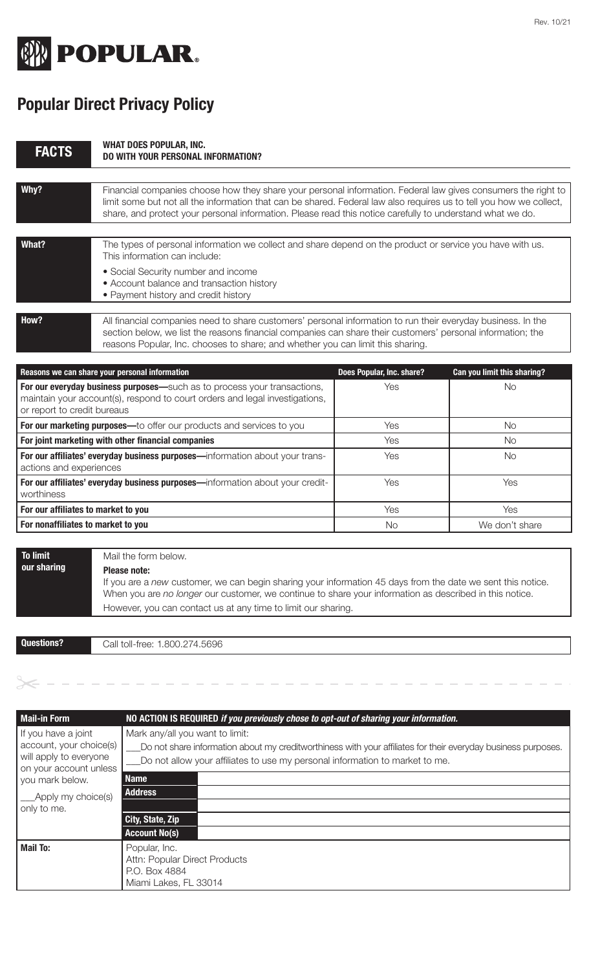

## **Popular Direct Privacy Policy**

| <b>FACTS</b>                                                                                                                                                                           | <b>WHAT DOES POPULAR, INC.</b><br>DO WITH YOUR PERSONAL INFORMATION?                                                                                                                                                                                                                                                                              |                           |                             |
|----------------------------------------------------------------------------------------------------------------------------------------------------------------------------------------|---------------------------------------------------------------------------------------------------------------------------------------------------------------------------------------------------------------------------------------------------------------------------------------------------------------------------------------------------|---------------------------|-----------------------------|
| Why?                                                                                                                                                                                   | Financial companies choose how they share your personal information. Federal law gives consumers the right to<br>limit some but not all the information that can be shared. Federal law also requires us to tell you how we collect,<br>share, and protect your personal information. Please read this notice carefully to understand what we do. |                           |                             |
| What?                                                                                                                                                                                  | The types of personal information we collect and share depend on the product or service you have with us.<br>This information can include:<br>• Social Security number and income<br>• Account balance and transaction history<br>• Payment history and credit history                                                                            |                           |                             |
| How?                                                                                                                                                                                   | All financial companies need to share customers' personal information to run their everyday business. In the<br>section below, we list the reasons financial companies can share their customers' personal information; the<br>reasons Popular, Inc. chooses to share; and whether you can limit this sharing.                                    |                           |                             |
|                                                                                                                                                                                        | Reasons we can share your personal information                                                                                                                                                                                                                                                                                                    | Does Popular, Inc. share? | Can you limit this sharing? |
| For our everyday business purposes-such as to process your transactions,<br>maintain your account(s), respond to court orders and legal investigations,<br>or report to credit bureaus |                                                                                                                                                                                                                                                                                                                                                   | Yes                       | <b>No</b>                   |
|                                                                                                                                                                                        | For our marketing purposes-to offer our products and services to you                                                                                                                                                                                                                                                                              | Yes                       | <b>No</b>                   |
|                                                                                                                                                                                        | For joint marketing with other financial companies                                                                                                                                                                                                                                                                                                | Yes                       | <b>No</b>                   |
| For our affiliates' everyday business purposes-information about your trans-<br>actions and experiences                                                                                |                                                                                                                                                                                                                                                                                                                                                   | Yes                       | <b>No</b>                   |
| worthiness                                                                                                                                                                             | For our affiliates' everyday business purposes-information about your credit-                                                                                                                                                                                                                                                                     | Yes                       | Yes                         |
| For our affiliates to market to you                                                                                                                                                    |                                                                                                                                                                                                                                                                                                                                                   | Yes                       | Yes                         |
| For nonaffiliates to market to you                                                                                                                                                     |                                                                                                                                                                                                                                                                                                                                                   | No.                       | We don't share              |
| <b>To limit</b><br>our sharing                                                                                                                                                         | Mail the form below.<br><b>Please note:</b><br>If you are a new customer, we can begin sharing your information 45 days from the date we sent this notice.<br>When you are no longer our customer, we continue to share your information as described in this notice.                                                                             |                           |                             |

**Questions?**

Call toll-free: 1.800.274.5696

However, you can contact us at any time to limit our sharing.

| Mail-in Form                                                                                       | NO ACTION IS REQUIRED if you previously chose to opt-out of sharing your information.                                                                                                                                            |
|----------------------------------------------------------------------------------------------------|----------------------------------------------------------------------------------------------------------------------------------------------------------------------------------------------------------------------------------|
| If you have a joint<br>account, your choice(s)<br>will apply to everyone<br>on your account unless | Mark any/all you want to limit:<br>Do not share information about my creditworthiness with your affiliates for their everyday business purposes.<br>Do not allow your affiliates to use my personal information to market to me. |
| you mark below.                                                                                    | <b>Name</b>                                                                                                                                                                                                                      |
| ___Apply my choice(s)                                                                              | <b>Address</b>                                                                                                                                                                                                                   |
| only to me.                                                                                        |                                                                                                                                                                                                                                  |
|                                                                                                    | City, State, Zip                                                                                                                                                                                                                 |
|                                                                                                    | <b>Account No(s)</b>                                                                                                                                                                                                             |
| <b>Mail To:</b>                                                                                    | Popular, Inc.<br>Attn: Popular Direct Products<br>P.O. Box 4884<br>Miami Lakes, FL 33014                                                                                                                                         |